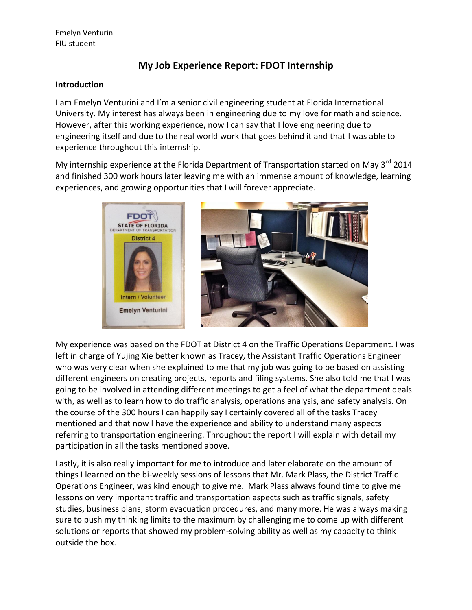## **My Job Experience Report: FDOT Internship**

### **Introduction**

I am Emelyn Venturini and I'm a senior civil engineering student at Florida International University. My interest has always been in engineering due to my love for math and science. However, after this working experience, now I can say that I love engineering due to engineering itself and due to the real world work that goes behind it and that I was able to experience throughout this internship.

My internship experience at the Florida Department of Transportation started on May 3<sup>rd</sup> 2014 and finished 300 work hours later leaving me with an immense amount of knowledge, learning experiences, and growing opportunities that I will forever appreciate.



My experience was based on the FDOT at District 4 on the Traffic Operations Department. I was left in charge of Yujing Xie better known as Tracey, the Assistant Traffic Operations Engineer who was very clear when she explained to me that my job was going to be based on assisting different engineers on creating projects, reports and filing systems. She also told me that I was going to be involved in attending different meetings to get a feel of what the department deals with, as well as to learn how to do traffic analysis, operations analysis, and safety analysis. On the course of the 300 hours I can happily say I certainly covered all of the tasks Tracey mentioned and that now I have the experience and ability to understand many aspects referring to transportation engineering. Throughout the report I will explain with detail my participation in all the tasks mentioned above.

Lastly, it is also really important for me to introduce and later elaborate on the amount of things I learned on the bi-weekly sessions of lessons that Mr. Mark Plass, the District Traffic Operations Engineer, was kind enough to give me. Mark Plass always found time to give me lessons on very important traffic and transportation aspects such as traffic signals, safety studies, business plans, storm evacuation procedures, and many more. He was always making sure to push my thinking limits to the maximum by challenging me to come up with different solutions or reports that showed my problem-solving ability as well as my capacity to think outside the box.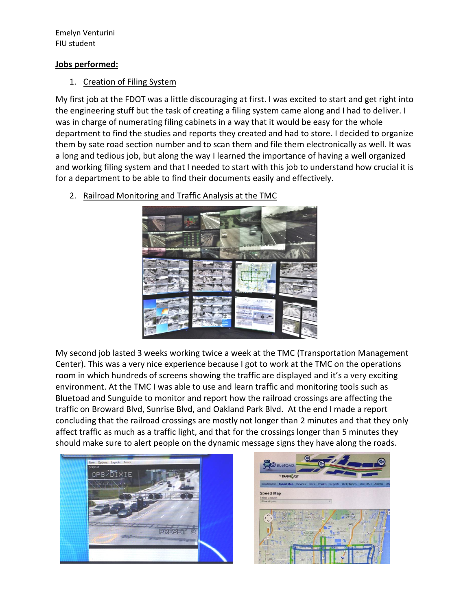### **Jobs performed:**

## 1. Creation of Filing System

My first job at the FDOT was a little discouraging at first. I was excited to start and get right into the engineering stuff but the task of creating a filing system came along and I had to deliver. I was in charge of numerating filing cabinets in a way that it would be easy for the whole department to find the studies and reports they created and had to store. I decided to organize them by sate road section number and to scan them and file them electronically as well. It was a long and tedious job, but along the way I learned the importance of having a well organized and working filing system and that I needed to start with this job to understand how crucial it is for a department to be able to find their documents easily and effectively.

2. Railroad Monitoring and Traffic Analysis at the TMC



My second job lasted 3 weeks working twice a week at the TMC (Transportation Management Center). This was a very nice experience because I got to work at the TMC on the operations room in which hundreds of screens showing the traffic are displayed and it's a very exciting environment. At the TMC I was able to use and learn traffic and monitoring tools such as Bluetoad and Sunguide to monitor and report how the railroad crossings are affecting the traffic on Broward Blvd, Sunrise Blvd, and Oakland Park Blvd. At the end I made a report concluding that the railroad crossings are mostly not longer than 2 minutes and that they only affect traffic as much as a traffic light, and that for the crossings longer than 5 minutes they should make sure to alert people on the dynamic message signs they have along the roads.



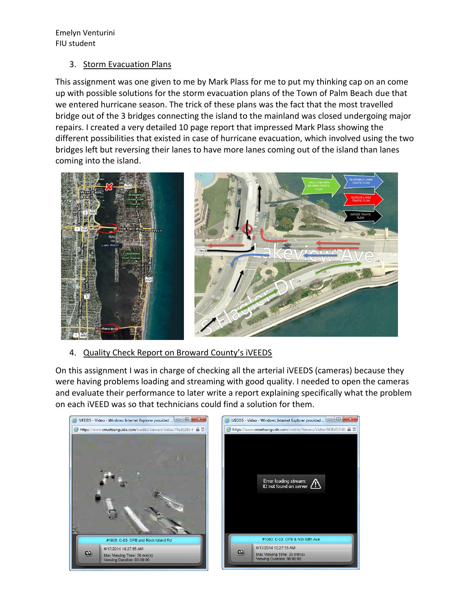### 3. Storm Evacuation Plans

This assignment was one given to me by Mark Plass for me to put my thinking cap on an come up with possible solutions for the storm evacuation plans of the Town of Palm Beach due that we entered hurricane season. The trick of these plans was the fact that the most travelled bridge out of the 3 bridges connecting the island to the mainland was closed undergoing major repairs. I created a very detailed 10 page report that impressed Mark Plass showing the different possibilities that existed in case of hurricane evacuation, which involved using the two bridges left but reversing their lanes to have more lanes coming out of the island than lanes coming into the island.



## 4. Quality Check Report on Broward County's iVEEDS

On this assignment I was in charge of checking all the arterial iVEEDS (cameras) because they were having problems loading and streaming with good quality. I needed to open the cameras and evaluate their performance to later write a report explaining specifically what the problem on each iVEED was so that technicians could find a solution for them.

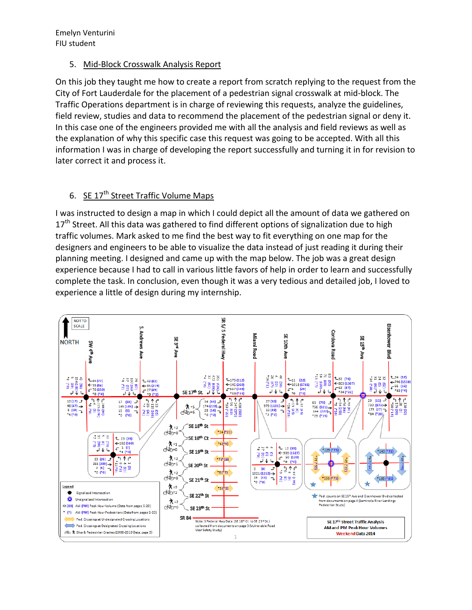### 5. Mid-Block Crosswalk Analysis Report

On this job they taught me how to create a report from scratch replying to the request from the City of Fort Lauderdale for the placement of a pedestrian signal crosswalk at mid-block. The Traffic Operations department is in charge of reviewing this requests, analyze the guidelines, field review, studies and data to recommend the placement of the pedestrian signal or deny it. In this case one of the engineers provided me with all the analysis and field reviews as well as the explanation of why this specific case this request was going to be accepted. With all this information I was in charge of developing the report successfully and turning it in for revision to later correct it and process it.

## 6. SE  $17^{th}$  Street Traffic Volume Maps

I was instructed to design a map in which I could depict all the amount of data we gathered on  $17<sup>th</sup>$  Street. All this data was gathered to find different options of signalization due to high traffic volumes. Mark asked to me find the best way to fit everything on one map for the designers and engineers to be able to visualize the data instead of just reading it during their planning meeting. I designed and came up with the map below. The job was a great design experience because I had to call in various little favors of help in order to learn and successfully complete the task. In conclusion, even though it was a very tedious and detailed job, I loved to experience a little of design during my internship.

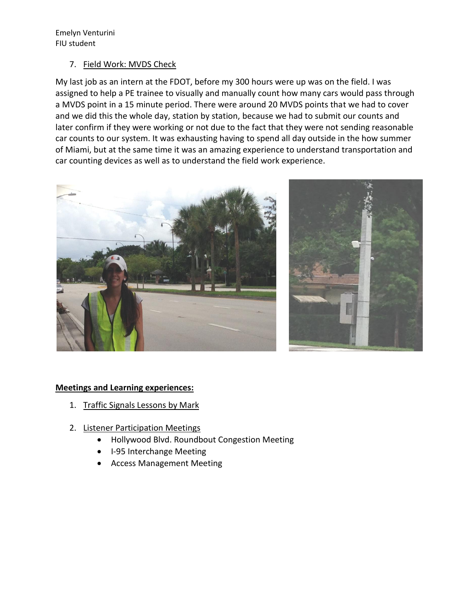#### 7. Field Work: MVDS Check

My last job as an intern at the FDOT, before my 300 hours were up was on the field. I was assigned to help a PE trainee to visually and manually count how many cars would pass through a MVDS point in a 15 minute period. There were around 20 MVDS points that we had to cover and we did this the whole day, station by station, because we had to submit our counts and later confirm if they were working or not due to the fact that they were not sending reasonable car counts to our system. It was exhausting having to spend all day outside in the how summer of Miami, but at the same time it was an amazing experience to understand transportation and car counting devices as well as to understand the field work experience.





## **Meetings and Learning experiences:**

- 1. Traffic Signals Lessons by Mark
- 2. Listener Participation Meetings
	- Hollywood Blvd. Roundbout Congestion Meeting
	- I-95 Interchange Meeting
	- Access Management Meeting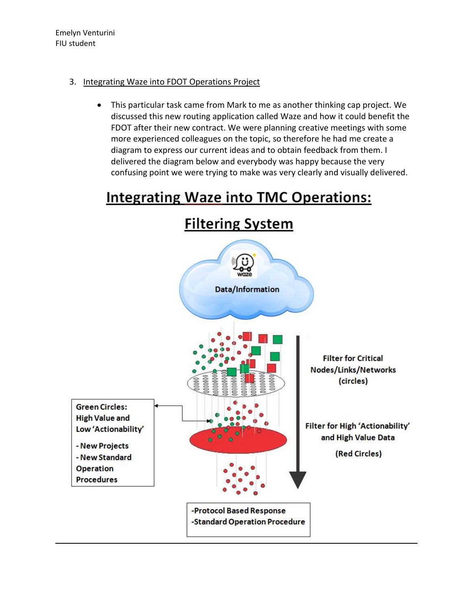## 3. Integrating Waze into FDOT Operations Project

 This particular task came from Mark to me as another thinking cap project. We discussed this new routing application called Waze and how it could benefit the FDOT after their new contract. We were planning creative meetings with some more experienced colleagues on the topic, so therefore he had me create a diagram to express our current ideas and to obtain feedback from them. I delivered the diagram below and everybody was happy because the very confusing point we were trying to make was very clearly and visually delivered.

# **Integrating Waze into TMC Operations:**